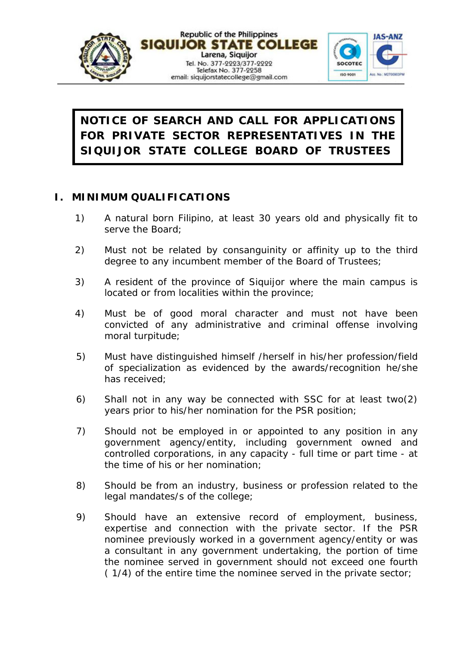

## **NOTICE OF SEARCH AND CALL FOR APPLICATIONS FOR PRIVATE SECTOR REPRESENTATIVES IN THE SIQUIJOR STATE COLLEGE BOARD OF TRUSTEES**

## **I. MINIMUM QUALIFICATIONS**

- 1) A natural born Filipino, at least 30 years old and physically fit to serve the Board;
- 2) Must not be related by consanguinity or affinity up to the third degree to any incumbent member of the Board of Trustees;
- 3) A resident of the province of Siquijor where the main campus is located or from localities within the province;
- 4) Must be of good moral character and must not have been convicted of any administrative and criminal offense involving moral turpitude;
- 5) Must have distinguished himself /herself in his/her profession/field of specialization as evidenced by the awards/recognition he/she has received;
- 6) Shall not in any way be connected with SSC for at least two(2) years prior to his/her nomination for the PSR position;
- 7) Should not be employed in or appointed to any position in any government agency/entity, including government owned and controlled corporations, in any capacity - full time or part time - at the time of his or her nomination;
- 8) Should be from an industry, business or profession related to the legal mandates/s of the college;
- 9) Should have an extensive record of employment, business, expertise and connection with the private sector. If the PSR nominee previously worked in a government agency/entity or was a consultant in any government undertaking, the portion of time the nominee served in government should not exceed one fourth ( 1/4) of the entire time the nominee served in the private sector;